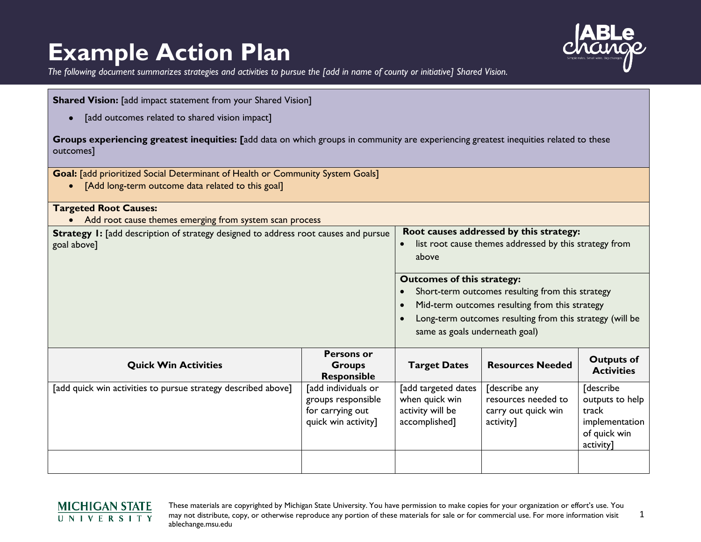## **Example Action Plan**



*The following document summarizes strategies and activities to pursue the [add in name of county or initiative] Shared Vision.*

| <b>Shared Vision:</b> [add impact statement from your Shared Vision]                                                                               |                                                                                      |                                                                                                                                                                                                                                       |                                                                          |                                                                                             |
|----------------------------------------------------------------------------------------------------------------------------------------------------|--------------------------------------------------------------------------------------|---------------------------------------------------------------------------------------------------------------------------------------------------------------------------------------------------------------------------------------|--------------------------------------------------------------------------|---------------------------------------------------------------------------------------------|
| [add outcomes related to shared vision impact]                                                                                                     |                                                                                      |                                                                                                                                                                                                                                       |                                                                          |                                                                                             |
| Groups experiencing greatest inequities: [add data on which groups in community are experiencing greatest inequities related to these<br>outcomes] |                                                                                      |                                                                                                                                                                                                                                       |                                                                          |                                                                                             |
| Goal: [add prioritized Social Determinant of Health or Community System Goals]<br>[Add long-term outcome data related to this goal]                |                                                                                      |                                                                                                                                                                                                                                       |                                                                          |                                                                                             |
| <b>Targeted Root Causes:</b><br>• Add root cause themes emerging from system scan process                                                          |                                                                                      |                                                                                                                                                                                                                                       |                                                                          |                                                                                             |
| Strategy 1: [add description of strategy designed to address root causes and pursue<br>goal above]                                                 |                                                                                      | Root causes addressed by this strategy:<br>list root cause themes addressed by this strategy from<br>$\bullet$<br>above                                                                                                               |                                                                          |                                                                                             |
|                                                                                                                                                    |                                                                                      | <b>Outcomes of this strategy:</b><br>Short-term outcomes resulting from this strategy<br>Mid-term outcomes resulting from this strategy<br>Long-term outcomes resulting from this strategy (will be<br>same as goals underneath goal) |                                                                          |                                                                                             |
| <b>Quick Win Activities</b>                                                                                                                        | <b>Persons or</b><br><b>Groups</b><br><b>Responsible</b>                             | <b>Target Dates</b>                                                                                                                                                                                                                   | <b>Resources Needed</b>                                                  | <b>Outputs of</b><br><b>Activities</b>                                                      |
| [add quick win activities to pursue strategy described above]                                                                                      | [add individuals or<br>groups responsible<br>for carrying out<br>quick win activity] | [add targeted dates<br>when quick win<br>activity will be<br>accomplished]                                                                                                                                                            | [describe any<br>resources needed to<br>carry out quick win<br>activity] | <b>[describe</b><br>outputs to help<br>track<br>implementation<br>of quick win<br>activity] |
|                                                                                                                                                    |                                                                                      |                                                                                                                                                                                                                                       |                                                                          |                                                                                             |

## **MICHIGAN STATE** UNIVERSITY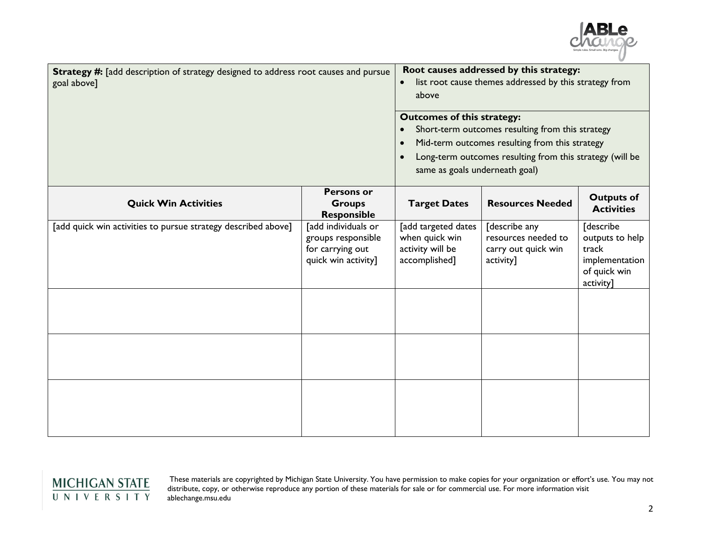

| Strategy #: [add description of strategy designed to address root causes and pursue<br>goal above] |                                                                                      | Root causes addressed by this strategy:<br>list root cause themes addressed by this strategy from<br>$\bullet$<br>above<br><b>Outcomes of this strategy:</b><br>Short-term outcomes resulting from this strategy<br>Mid-term outcomes resulting from this strategy<br>Long-term outcomes resulting from this strategy (will be<br>same as goals underneath goal) |                                                                          |                                                                                             |
|----------------------------------------------------------------------------------------------------|--------------------------------------------------------------------------------------|------------------------------------------------------------------------------------------------------------------------------------------------------------------------------------------------------------------------------------------------------------------------------------------------------------------------------------------------------------------|--------------------------------------------------------------------------|---------------------------------------------------------------------------------------------|
| <b>Quick Win Activities</b>                                                                        | <b>Persons or</b><br><b>Groups</b><br><b>Responsible</b>                             | <b>Target Dates</b>                                                                                                                                                                                                                                                                                                                                              | <b>Resources Needed</b>                                                  | <b>Outputs of</b><br><b>Activities</b>                                                      |
| [add quick win activities to pursue strategy described above]                                      | [add individuals or<br>groups responsible<br>for carrying out<br>quick win activity] | [add targeted dates<br>when quick win<br>activity will be<br>accomplished]                                                                                                                                                                                                                                                                                       | [describe any<br>resources needed to<br>carry out quick win<br>activity] | <b>[describe</b><br>outputs to help<br>track<br>implementation<br>of quick win<br>activity] |
|                                                                                                    |                                                                                      |                                                                                                                                                                                                                                                                                                                                                                  |                                                                          |                                                                                             |
|                                                                                                    |                                                                                      |                                                                                                                                                                                                                                                                                                                                                                  |                                                                          |                                                                                             |

## $\frac{\text{MICHIGAN STATE}}{\text{U N IV E R S IT Y}}$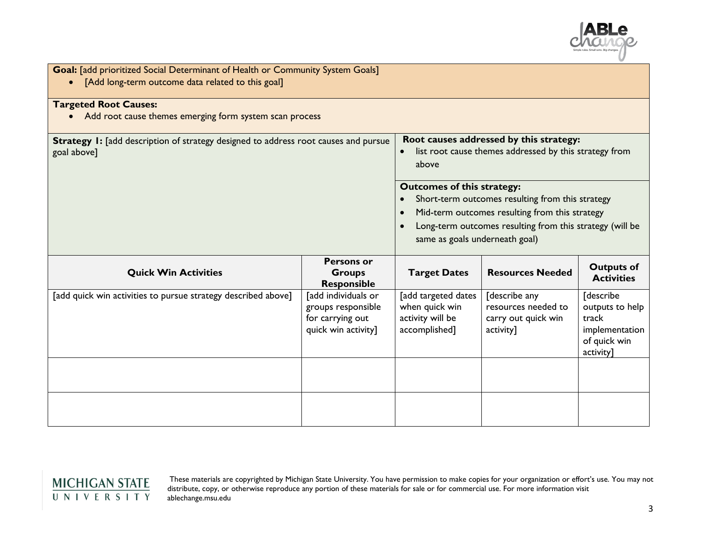

| Goal: [add prioritized Social Determinant of Health or Community System Goals]<br>[Add long-term outcome data related to this goal] |                                                                                      |                                                                                                                                                                                                                                       |                                                                          |                                                                                      |
|-------------------------------------------------------------------------------------------------------------------------------------|--------------------------------------------------------------------------------------|---------------------------------------------------------------------------------------------------------------------------------------------------------------------------------------------------------------------------------------|--------------------------------------------------------------------------|--------------------------------------------------------------------------------------|
| <b>Targeted Root Causes:</b><br>Add root cause themes emerging form system scan process                                             |                                                                                      |                                                                                                                                                                                                                                       |                                                                          |                                                                                      |
| <b>Strategy I:</b> [add description of strategy designed to address root causes and pursue<br>goal above]                           |                                                                                      | Root causes addressed by this strategy:<br>list root cause themes addressed by this strategy from<br>above                                                                                                                            |                                                                          |                                                                                      |
|                                                                                                                                     |                                                                                      | <b>Outcomes of this strategy:</b><br>Short-term outcomes resulting from this strategy<br>Mid-term outcomes resulting from this strategy<br>Long-term outcomes resulting from this strategy (will be<br>same as goals underneath goal) |                                                                          |                                                                                      |
| <b>Quick Win Activities</b>                                                                                                         | <b>Persons or</b><br><b>Groups</b><br><b>Responsible</b>                             | <b>Target Dates</b>                                                                                                                                                                                                                   | <b>Resources Needed</b>                                                  | <b>Outputs of</b><br><b>Activities</b>                                               |
| [add quick win activities to pursue strategy described above]                                                                       | [add individuals or<br>groups responsible<br>for carrying out<br>quick win activity] | [add targeted dates<br>when quick win<br>activity will be<br>accomplished]                                                                                                                                                            | [describe any<br>resources needed to<br>carry out quick win<br>activity] | [describe<br>outputs to help<br>track<br>implementation<br>of quick win<br>activity] |
|                                                                                                                                     |                                                                                      |                                                                                                                                                                                                                                       |                                                                          |                                                                                      |